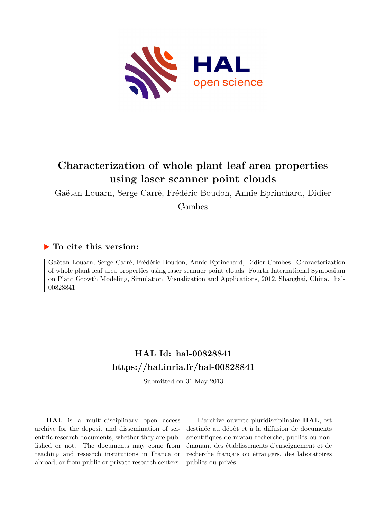

# **Characterization of whole plant leaf area properties using laser scanner point clouds**

Gaëtan Louarn, Serge Carré, Frédéric Boudon, Annie Eprinchard, Didier

Combes

# **To cite this version:**

Gaëtan Louarn, Serge Carré, Frédéric Boudon, Annie Eprinchard, Didier Combes. Characterization of whole plant leaf area properties using laser scanner point clouds. Fourth International Symposium on Plant Growth Modeling, Simulation, Visualization and Applications, 2012, Shanghai, China. hal-00828841

# **HAL Id: hal-00828841 <https://hal.inria.fr/hal-00828841>**

Submitted on 31 May 2013

**HAL** is a multi-disciplinary open access archive for the deposit and dissemination of scientific research documents, whether they are published or not. The documents may come from teaching and research institutions in France or abroad, or from public or private research centers.

L'archive ouverte pluridisciplinaire **HAL**, est destinée au dépôt et à la diffusion de documents scientifiques de niveau recherche, publiés ou non, émanant des établissements d'enseignement et de recherche français ou étrangers, des laboratoires publics ou privés.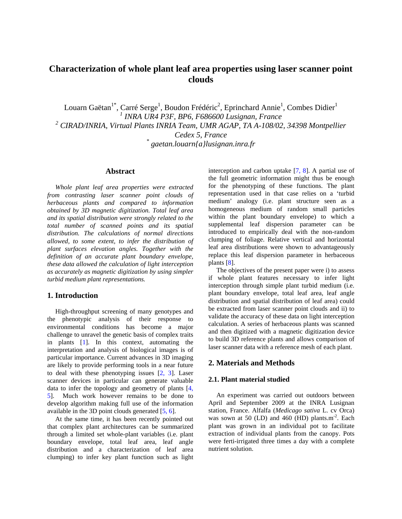## **Characterization of whole plant leaf area properties using laser scanner point clouds**

Louarn Gaëtan<sup>1\*</sup>, Carré Serge<sup>1</sup>, Boudon Frédéric<sup>2</sup>, Eprinchard Annie<sup>1</sup>, Combes Didier<sup>1</sup> *1 INRA UR4 P3F, BP6, F686600 Lusignan, France*  <sup>2</sup> CIRAD/INRIA, Virtual Plants INRIA Team, UMR AGAP, TA A-108/02, 34398 Montpellier *Cedex 5, France \* gaetan.louarn{a}lusignan.inra.fr* 

#### **Abstract**

*Whole plant leaf area properties were extracted from contrasting laser scanner point clouds of herbaceous plants and compared to information obtained by 3D magnetic digitization. Total leaf area and its spatial distribution were strongly related to the total number of scanned points and its spatial distribution. The calculations of normal directions allowed, to some extent, to infer the distribution of plant surfaces elevation angles. Together with the definition of an accurate plant boundary envelope, these data allowed the calculation of light interception as accurately as magnetic digitization by using simpler turbid medium plant representations.* 

### **1. Introduction**

High-throughput screening of many genotypes and the phenotypic analysis of their response to environmental conditions has become a major challenge to unravel the genetic basis of complex traits in plants [1]. In this context, automating the interpretation and analysis of biological images is of particular importance. Current advances in 3D imaging are likely to provide performing tools in a near future to deal with these phenotyping issues [2, 3]. Laser scanner devices in particular can generate valuable data to infer the topology and geometry of plants [4, 5]. Much work however remains to be done to develop algorithm making full use of the information available in the 3D point clouds generated [5, 6].

At the same time, it has been recently pointed out that complex plant architectures can be summarized through a limited set whole-plant variables (i.e. plant boundary envelope, total leaf area, leaf angle distribution and a characterization of leaf area clumping) to infer key plant function such as light

interception and carbon uptake [7, 8]. A partial use of the full geometric information might thus be enough for the phenotyping of these functions. The plant representation used in that case relies on a 'turbid medium' analogy (i.e. plant structure seen as a homogeneous medium of random small particles within the plant boundary envelope) to which a supplemental leaf dispersion parameter can be introduced to empirically deal with the non-random clumping of foliage. Relative vertical and horizontal leaf area distributions were shown to advantageously replace this leaf dispersion parameter in herbaceous plants [8].

The objectives of the present paper were i) to assess if whole plant features necessary to infer light interception through simple plant turbid medium (i.e. plant boundary envelope, total leaf area, leaf angle distribution and spatial distribution of leaf area) could be extracted from laser scanner point clouds and ii) to validate the accuracy of these data on light interception calculation. A series of herbaceous plants was scanned and then digitized with a magnetic digitization device to build 3D reference plants and allows comparison of laser scanner data with a reference mesh of each plant.

### **2. Materials and Methods**

#### **2.1. Plant material studied**

An experiment was carried out outdoors between April and September 2009 at the INRA Lusignan station, France. Alfalfa (*Medicago sativa* L. cv Orca) was sown at 50 (LD) and 460 (HD) plants.m<sup>-2</sup>. Each plant was grown in an individual pot to facilitate extraction of individual plants from the canopy. Pots were ferti-irrigated three times a day with a complete nutrient solution.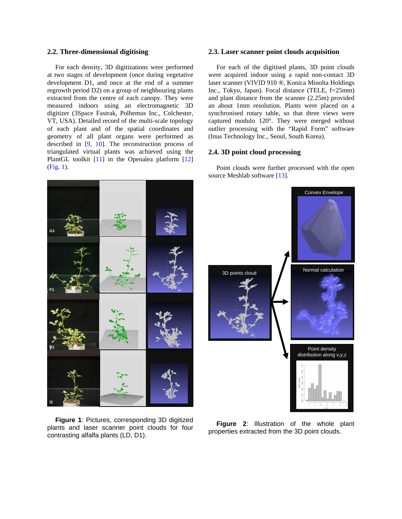#### **2.2. Three-dimensional digitising**

For each density, 3D digitizations were performed at two stages of development (once during vegetative development D1, and once at the end of a summer regrowth period D2) on a group of neighbouring plants extracted from the centre of each canopy. They were measured indoors using an electromagnetic 3D digitizer (3Space Fastrak, Polhemus Inc., Colchester, VT, USA). Detailed record of the multi-scale topology of each plant and of the spatial coordinates and geometry of all plant organs were performed as described in [9, 10]. The reconstruction process of triangulated virtual plants was achieved using the PlantGL toolkit [11] in the Openalea platform [12] (Fig. 1).

#### **2.3. Laser scanner point clouds acquisition**

For each of the digitised plants, 3D point clouds were acquired indoor using a rapid non-contact 3D laser scanner (VIVID 910 ®, Konica Minolta Holdings Inc., Tokyo, Japan). Focal distance (TELE, f=25mm) and plant distance from the scanner (2.25m) provided an about 1mm resolution. Plants were placed on a synchronised rotary table, so that three views were captured modulo 120°. They were merged without outlier processing with the "Rapid Form" software (Inus Technology Inc., Seoul, South Korea).

#### **2.4. 3D point cloud processing**

Point clouds were further processed with the open source Meshlab software [13].



**Figure 1**: Pictures, corresponding 3D digitized plants and laser scanner point clouds for four contrasting alfalfa plants (LD, D1).



**Figure 2**: Illustration of the whole plant properties extracted from the 3D point clouds.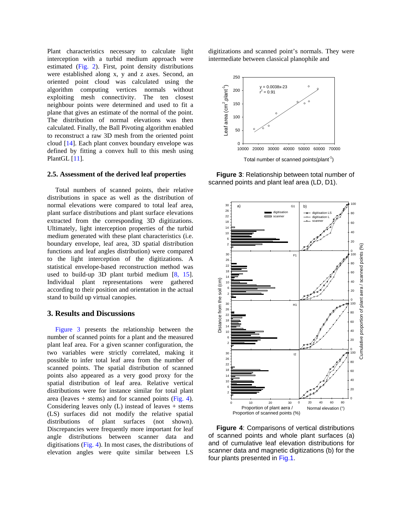Plant characteristics necessary to calculate light interception with a turbid medium approach were estimated (Fig. 2). First, point density distributions were established along x, y and z axes. Second, an oriented point cloud was calculated using the algorithm computing vertices normals without exploiting mesh connectivity. The ten closest neighbour points were determined and used to fit a plane that gives an estimate of the normal of the point. The distribution of normal elevations was then calculated. Finally, the Ball Pivoting algorithm enabled to reconstruct a raw 3D mesh from the oriented point cloud [14]. Each plant convex boundary envelope was defined by fitting a convex hull to this mesh using PlantGL [11].

#### **2.5. Assessment of the derived leaf properties**

Total numbers of scanned points, their relative distributions in space as well as the distribution of normal elevations were compared to total leaf area, plant surface distributions and plant surface elevations extracted from the corresponding 3D digitizations. Ultimately, light interception properties of the turbid medium generated with these plant characteristics (i.e. boundary envelope, leaf area, 3D spatial distribution functions and leaf angles distribution) were compared to the light interception of the digitizations. A statistical envelope-based reconstruction method was used to build-up 3D plant turbid medium [8, 15]. Individual plant representations were gathered according to their position and orientation in the actual stand to build up virtual canopies.

## **3. Results and Discussions**

Figure 3 presents the relationship between the number of scanned points for a plant and the measured plant leaf area. For a given scanner configuration, the two variables were strictly correlated, making it possible to infer total leaf area from the number of scanned points. The spatial distribution of scanned points also appeared as a very good proxy for the spatial distribution of leaf area. Relative vertical distributions were for instance similar for total plant area (leaves  $+$  stems) and for scanned points (Fig. 4). Considering leaves only  $(L)$  instead of leaves  $+$  stems (LS) surfaces did not modify the relative spatial distributions of plant surfaces (not shown). Discrepancies were frequently more important for leaf angle distributions between scanner data and digitisations (Fig. 4). In most cases, the distributions of elevation angles were quite similar between LS

digitizations and scanned point's normals. They were intermediate between classical planophile and



**Figure 3**: Relationship between total number of scanned points and plant leaf area (LD, D1).



**Figure 4**: Comparisons of vertical distributions of scanned points and whole plant surfaces (a) and of cumulative leaf elevation distributions for scanner data and magnetic digitizations (b) for the four plants presented in Fig.1.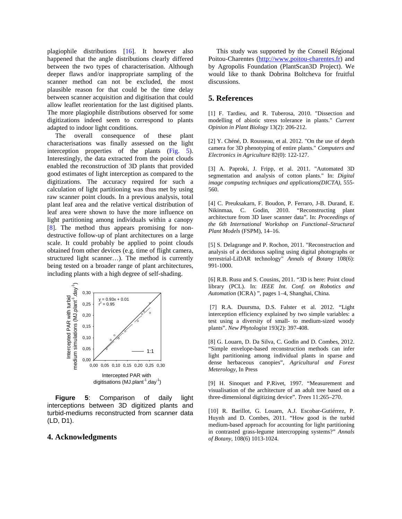plagiophile distributions [16]. It however also happened that the angle distributions clearly differed between the two types of characterisation. Although deeper flaws and/or inappropriate sampling of the scanner method can not be excluded, the most plausible reason for that could be the time delay between scanner acquisition and digitisation that could allow leaflet reorientation for the last digitised plants. The more plagiophile distributions observed for some digitizations indeed seem to correspond to plants adapted to indoor light conditions.

The overall consequence of these plant characterisations was finally assessed on the light interception properties of the plants (Fig. 5). Interestingly, the data extracted from the point clouds enabled the reconstruction of 3D plants that provided good estimates of light interception as compared to the digitizations. The accuracy required for such a calculation of light partitioning was thus met by using raw scanner point clouds. In a previous analysis, total plant leaf area and the relative vertical distribution of leaf area were shown to have the more influence on light partitioning among individuals within a canopy [8]. The method thus appears promising for nondestructive follow-up of plant architectures on a large scale. It could probably be applied to point clouds obtained from other devices (e.g. time of flight camera, structured light scanner…). The method is currently being tested on a broader range of plant architectures, including plants with a high degree of self-shading.



**Figure 5**: Comparison of daily light interceptions between 3D digitized plants and turbid-mediums reconstructed from scanner data (LD, D1).

#### **4. Acknowledgments**

This study was supported by the Conseil Régional Poitou-Charentes [\(http://www.poitou-charentes.fr](http://www.poitou-charentes.fr/)) and by Agropolis Foundation (PlantScan3D Project). We would like to thank Dobrina Boltcheva for fruitful discussions.

#### **5. References**

[1] F. Tardieu, and R. Tuberosa, 2010. "Dissection and modelling of abiotic stress tolerance in plants." *Current Opinion in Plant Biology* 13(2): 206-212.

[2] Y. Chéné, D. Rousseau, et al. 2012. "On the use of depth camera for 3D phenotyping of entire plants." *Computers and Electronics in Agriculture* 82(0): 122-127.

[3] A. Paproki, J. Fripp, et al. 2011. "Automated 3D segmentation and analysis of cotton plants." In: *Digital image computing techniques and applications(DICTA),* 555- 560.

[4] C. Preuksakarn, F. Boudon, P. Ferraro, J-B. Durand, E. Nikinmaa, C. Godin, 2010. "Reconstructing plant architecture from 3D laser scanner data". In: *Proceedings of the 6th International Workshop on Functional–Structural Plant Models* (FSPM), 14–16.

[5] S. Delagrange and P. Rochon, 2011. "Reconstruction and analysis of a deciduous sapling using digital photographs or terrestrial-LiDAR technology" *Annals of Botany* 108(6): 991-1000.

[6] R.B. Rusu and S. Cousins, 2011. "3D is here: Point cloud library (PCL). In: *IEEE Int. Conf. on Robotics and Automation* (ICRA) ", pages 1–4, Shanghai, China.

 [7] R.A. Duursma, D.S. Falster et al. 2012. "Light interception efficiency explained by two simple variables: a test using a diversity of small- to medium-sized woody plants". *New Phytologist* 193(2): 397-408.

[8] G. Louarn, D. Da Silva, C. Godin and D. Combes, 2012. "Simple envelope-based reconstruction methods can infer light partitioning among individual plants in sparse and dense herbaceous canopies", *Agricultural and Forest Meterology*, In Press

[9] H. Sinoquet and P.Rivet, 1997. "Measurement and visualisation of the architecture of an adult tree based on a three-dimensional digitizing device". *Trees* 11:265–270.

[10] R. Barillot, G. Louarn, A.J. Escobar-Gutiérrez, P. Huynh and D. Combes, 2011. "How good is the turbid medium-based approach for accounting for light partitioning in contrasted grass-legume intercropping systems?" *Annals of Botany*, 108(6) 1013-1024.